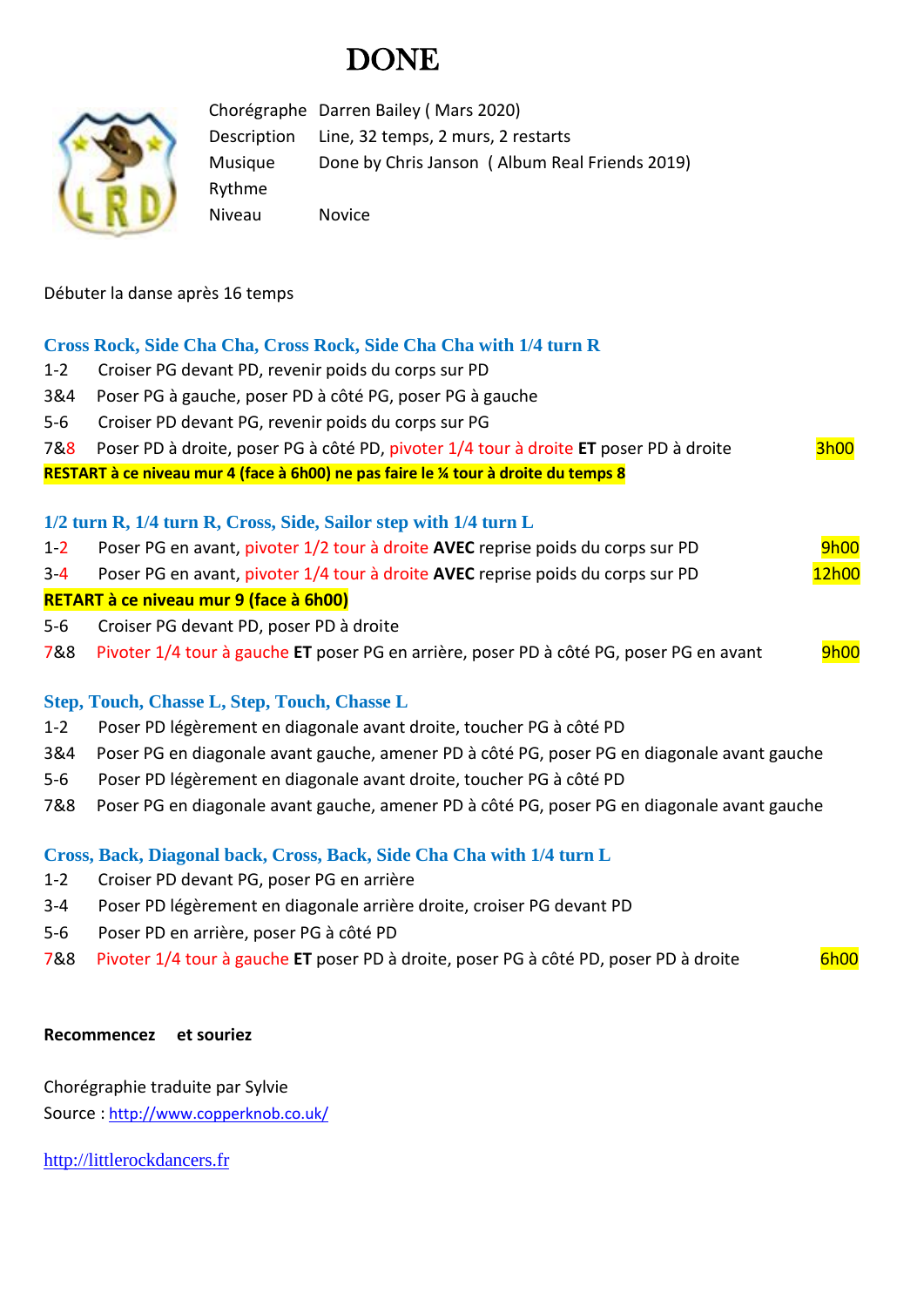# **DONE**



Chorégraphe Darren Bailey ( Mars 2020) Description Line, 32 temps, 2 murs, 2 restarts Musique Done by Chris Janson ( Album Real Friends 2019) Rythme Niveau Novice

Débuter la danse après 16 temps

# **Cross Rock, Side Cha Cha, Cross Rock, Side Cha Cha with 1/4 turn R**

- 1-2 Croiser PG devant PD, revenir poids du corps sur PD
- 3&4 Poser PG à gauche, poser PD à côté PG, poser PG à gauche
- 5-6 Croiser PD devant PG, revenir poids du corps sur PG

| 7&8 Poser PD à droite, poser PG à côté PD, pivoter 1/4 tour à droite ET poser PD à droite | 3h00 |
|-------------------------------------------------------------------------------------------|------|
|                                                                                           |      |

**RESTART à ce niveau mur 4 (face à 6h00) ne pas faire le ¼ tour à droite du temps 8**

# **1/2 turn R, 1/4 turn R, Cross, Side, Sailor step with 1/4 turn L**

- 1-2 Poser PG en avant, pivoter 1/2 tour à droite **AVEC** reprise poids du corps sur PD 9h00
- 3-4 Poser PG en avant, pivoter 1/4 tour à droite AVEC reprise poids du corps sur PD 12h00

### **RETART à ce niveau mur 9 (face à 6h00)**

- 5-6 Croiser PG devant PD, poser PD à droite
- 7&8 Pivoter 1/4 tour à gauche **ET** poser PG en arrière, poser PD à côté PG, poser PG en avant <sup>9h00</sup>

# **Step, Touch, Chasse L, Step, Touch, Chasse L**

- 1-2 Poser PD légèrement en diagonale avant droite, toucher PG à côté PD
- 3&4 Poser PG en diagonale avant gauche, amener PD à côté PG, poser PG en diagonale avant gauche
- 5-6 Poser PD légèrement en diagonale avant droite, toucher PG à côté PD
- 7&8 Poser PG en diagonale avant gauche, amener PD à côté PG, poser PG en diagonale avant gauche

### **Cross, Back, Diagonal back, Cross, Back, Side Cha Cha with 1/4 turn L**

- 1-2 Croiser PD devant PG, poser PG en arrière
- 3-4 Poser PD légèrement en diagonale arrière droite, croiser PG devant PD
- 5-6 Poser PD en arrière, poser PG à côté PD
- 7&8 Pivoter 1/4 tour à gauche **ET** poser PD à droite, poser PG à côté PD, poser PD à droite 6h00

# **Recommencez et souriez**

Chorégraphie traduite par Sylvie Source : [http://www.copperknob.co.uk/](https://www.copperknob.co.uk/) 

[http://littlerockdancers.fr](http://littlerockdancers.fr/)